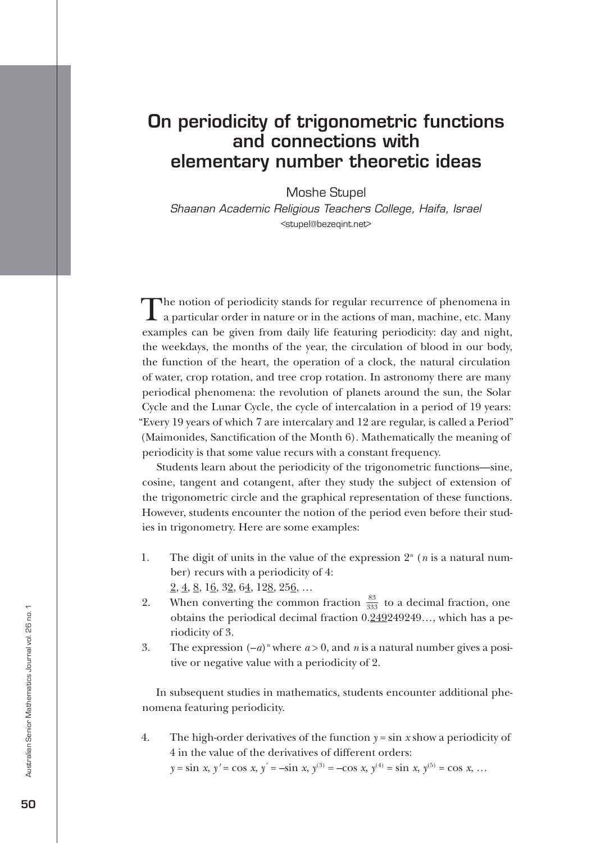## On periodicity of trigonometric functions and connections with elementary number theoretic ideas

Moshe Stupel

*Shaanan Academic Religious Teachers College, Haifa, Israel* <stupel@bezeqint.net>

The notion of periodicity stands for regular recurrence of phenomena in a particular order in nature or in the actions of man, machine, etc. Many examples can be given from daily life featuring periodicity: day and night, the weekdays, the months of the year, the circulation of blood in our body, the function of the heart, the operation of a clock, the natural circulation of water, crop rotation, and tree crop rotation. In astronomy there are many periodical phenomena: the revolution of planets around the sun, the Solar Cycle and the Lunar Cycle, the cycle of intercalation in a period of 19 years: "Every 19 years of which 7 are intercalary and 12 are regular, is called a Period" (Maimonides, Sanctification of the Month 6). Mathematically the meaning of periodicity is that some value recurs with a constant frequency.

Students learn about the periodicity of the trigonometric functions—sine, cosine, tangent and cotangent, after they study the subject of extension of the trigonometric circle and the graphical representation of these functions. However, students encounter the notion of the period even before their studies in trigonometry. Here are some examples:

- 1. The digit of units in the value of the expression  $2^n$  (*n* is a natural number) recurs with a periodicity of 4:  $2, 4, 8, 16, 32, 64, 128, 256, \ldots$
- 2. When converting the common fraction  $\frac{83}{333}$  to a decimal fraction, one obtains the periodical decimal fraction 0.249249249…, which has a periodicity of 3.
- 3. The expression  $(-a)^n$  where  $a > 0$ , and *n* is a natural number gives a positive or negative value with a periodicity of 2.

In subsequent studies in mathematics, students encounter additional phenomena featuring periodicity.

4. The high-order derivatives of the function  $y = \sin x$  show a periodicity of 4 in the value of the derivatives of different orders:

 $y = \sin x$ ,  $y' = \cos x$ ,  $y'' = -\sin x$ ,  $y^{(3)} = -\cos x$ ,  $y^{(4)} = \sin x$ ,  $y^{(5)} = \cos x$ , …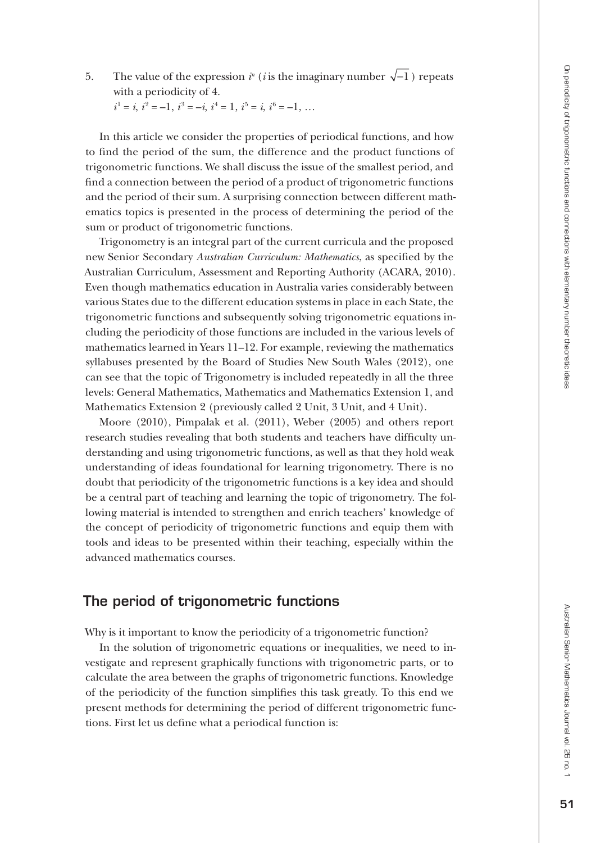5. The value of the expression  $i^n$  (*i* is the imaginary number  $\sqrt{-1}$ ) repeats with a periodicity of 4.

 $i^1 = i$ ,  $i^2 = -1$ ,  $i^3 = -i$ ,  $i^4 = 1$ ,  $i^5 = i$ ,  $i^6 = -1$ , ...

In this article we consider the properties of periodical functions, and how to find the period of the sum, the difference and the product functions of trigonometric functions. We shall discuss the issue of the smallest period, and find a connection between the period of a product of trigonometric functions and the period of their sum. A surprising connection between different math ematics topics is presented in the process of determining the period of the sum or product of trigonometric functions.

Trigonometry is an integral part of the current curricula and the proposed new Senior Secondary *Australian Curriculum: Mathematics*, as specified by the Australian Curriculum, Assessment and Reporting Authority (ACARA, 2010). Even though mathematics education in Australia varies considerably between various States due to the different education systems in place in each State, the trigonometric functions and subsequently solving trigonometric equations in cluding the periodicity of those functions are included in the various levels of mathematics learned in Years 11–12. For example, reviewing the mathematics syllabuses presented by the Board of Studies New South Wales (2012), one can see that the topic of Trigonometry is included repeatedly in all the three levels: General Mathematics, Mathematics and Mathematics Extension 1, and Mathematics Extension 2 (previously called 2 Unit, 3 Unit, and 4 Unit).

Moore (2010), Pimpalak et al. (2011), Weber (2005) and others report research studies revealing that both students and teachers have difficulty un derstanding and using trigonometric functions, as well as that they hold weak understanding of ideas foundational for learning trigonometry. There is no doubt that periodicity of the trigonometric functions is a key idea and should be a central part of teaching and learning the topic of trigonometry. The fol lowing material is intended to strengthen and enrich teachers' knowledge of the concept of periodicity of trigonometric functions and equip them with tools and ideas to be presented within their teaching, especially within the advanced mathematics courses.

### The period of trigonometric functions

Why is it important to know the periodicity of a trigonometric function?

In the solution of trigonometric equations or inequalities, we need to investigate and represent graphically functions with trigonometric parts, or to calculate the area between the graphs of trigonometric functions. Knowledge of the periodicity of the function simplifies this task greatly. To this end we present methods for determining the period of different trigonometric func tions. First let us define what a periodical function is: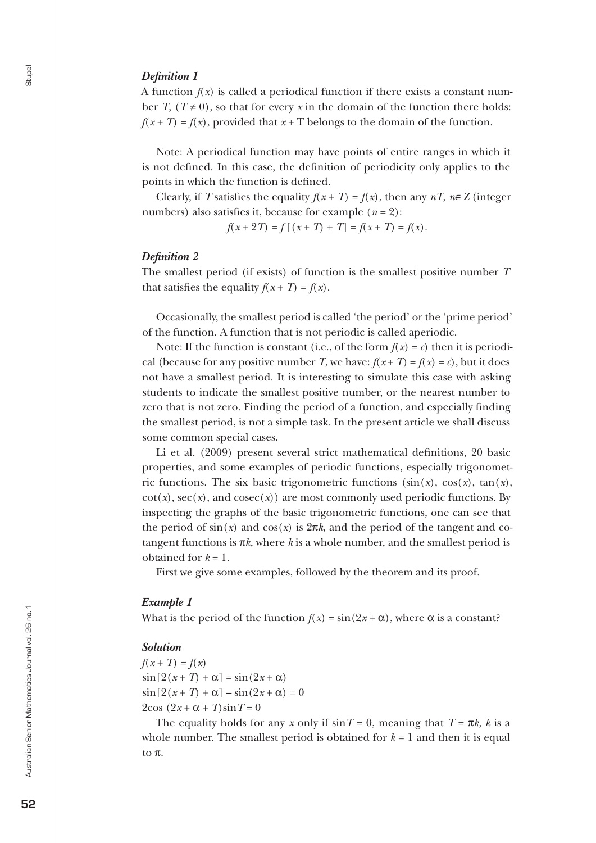### *Definition 1*

A function  $f(x)$  is called a periodical function if there exists a constant number *T*,  $(T \neq 0)$ , so that for every *x* in the domain of the function there holds:  $f(x+T) = f(x)$ , provided that  $x+T$  belongs to the domain of the function.

Note: A periodical function may have points of entire ranges in which it is not defined. In this case, the definition of periodicity only applies to the points in which the function is defined.

Clearly, if *T* satisfies the equality  $f(x+T) = f(x)$ , then any  $nT$ ,  $n \in \mathbb{Z}$  (integer numbers) also satisfies it, because for example  $(n = 2)$ :

 $f(x+2T) = f[(x+T) + T] = f(x+T) = f(x)$ .

### *Definition 2*

The smallest period (if exists) of function is the smallest positive number *T* that satisfies the equality  $f(x+T) = f(x)$ .

Occasionally, the smallest period is called 'the period' or the 'prime period' of the function. A function that is not periodic is called aperiodic.

Note: If the function is constant (i.e., of the form  $f(x) = c$ ) then it is periodical (because for any positive number *T*, we have:  $f(x+T) = f(x) = c$ ), but it does not have a smallest period. It is interesting to simulate this case with asking students to indicate the smallest positive number, or the nearest number to zero that is not zero. Finding the period of a function, and especially finding the smallest period, is not a simple task. In the present article we shall discuss some common special cases.

Li et al. (2009) present several strict mathematical definitions, 20 basic properties, and some examples of periodic functions, especially trigonometric functions. The six basic trigonometric functions  $(\sin(x), \cos(x), \tan(x))$  $cot(x)$ ,  $sec(x)$ , and  $cosec(x)$ ) are most commonly used periodic functions. By inspecting the graphs of the basic trigonometric functions, one can see that the period of  $sin(x)$  and  $cos(x)$  is  $2\pi k$ , and the period of the tangent and cotangent functions is  $\pi k$ , where  $k$  is a whole number, and the smallest period is obtained for  $k = 1$ .

First we give some examples, followed by the theorem and its proof.

### *Example 1*

What is the period of the function  $f(x) = \sin(2x + \alpha)$ , where  $\alpha$  is a constant?

#### *Solution*

 $f(x+T) = f(x)$  $\sin[2(x+T) + \alpha] = \sin(2x + \alpha)$  $\sin[2(x+T) + \alpha] - \sin(2x + \alpha) = 0$  $2\cos(2x + \alpha + T)\sin T = 0$ 

The equality holds for any *x* only if  $\sin T = 0$ , meaning that  $T = \pi k$ , *k* is a whole number. The smallest period is obtained for  $k = 1$  and then it is equal to π.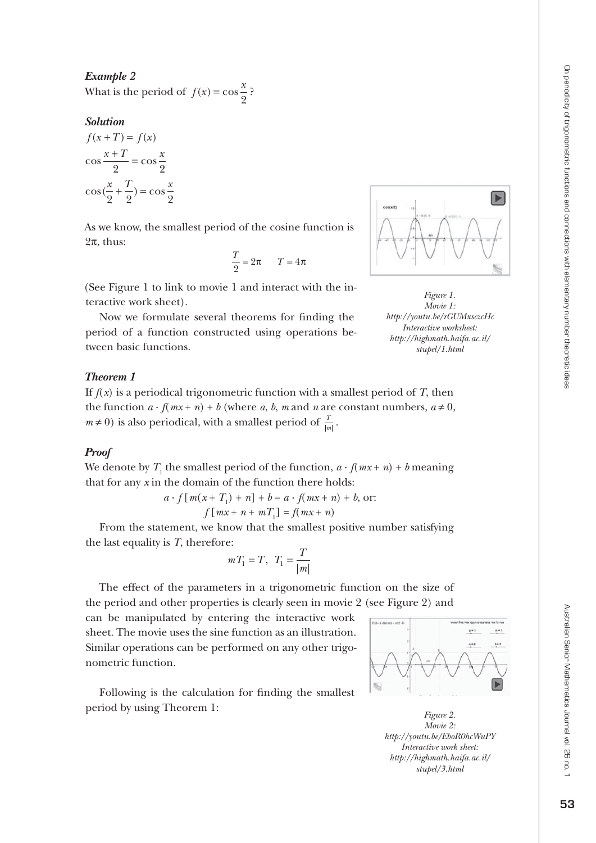*Example 2* What is the period of  $f(x) = \cos{\frac{x}{2}}$ ?

### *Solution*

 $f(x+T) = f(x)$  $\cos \frac{x+T}{2} = \cos \frac{x}{2}$  $\cos(\frac{x}{2} + \frac{T}{2}) = \cos\frac{x}{2}$ 2 2 2 2 2

As we know, the smallest period of the cosine function is  $2\pi$ , thus:

$$
\frac{T}{2} = 2\pi \qquad T = 4\pi
$$

(See Figure 1 to link to movie 1 and interact with the in teractive work sheet).

Now we formulate several theorems for finding the period of a function constructed using operations be tween basic functions.

### *Theorem 1*

If  $f(x)$  is a periodical trigonometric function with a smallest period of  $T$ , then the function  $a \cdot f(mx + n) + b$  (where a, b, m and n are constant numbers,  $a \neq 0$ ,  $m \neq 0$ ) is also periodical, with a smallest period of  $\frac{T}{|m|}$ .

### *Proof*

We denote by  $T_1$  the smallest period of the function,  $a \cdot f(mx + n) + b$  meaning that for any *x* in the domain of the function there holds:

$$
a \cdot f[m(x+T_1) + n] + b = a \cdot f(mx+n) + b,
$$
or:  

$$
f[mx+n+mT_1] = f(mx+n)
$$

From the statement, we know that the smallest positive number satisfying the last equality is *T*, therefore:

$$
mT_1 = T, T_1 = \frac{T}{|m|}
$$

The effect of the parameters in a trigonometric function on the size of the period and other properties is clearly seen in movie 2 (see Figure 2) and

can be manipulated by entering the interactive work sheet. The movie uses the sine function as an illustration. Similar operations can be performed on any other trigo nometric function.

Following is the calculation for finding the smallest period by using Theorem 1:



*Figure 2. Movie 2: http://youtu.be/EboR0hcWuPY Interactive work sheet: http://highmath.haifa.ac.il/ stupel/3.html*





Australian Senior Mathematics Journal vol. 26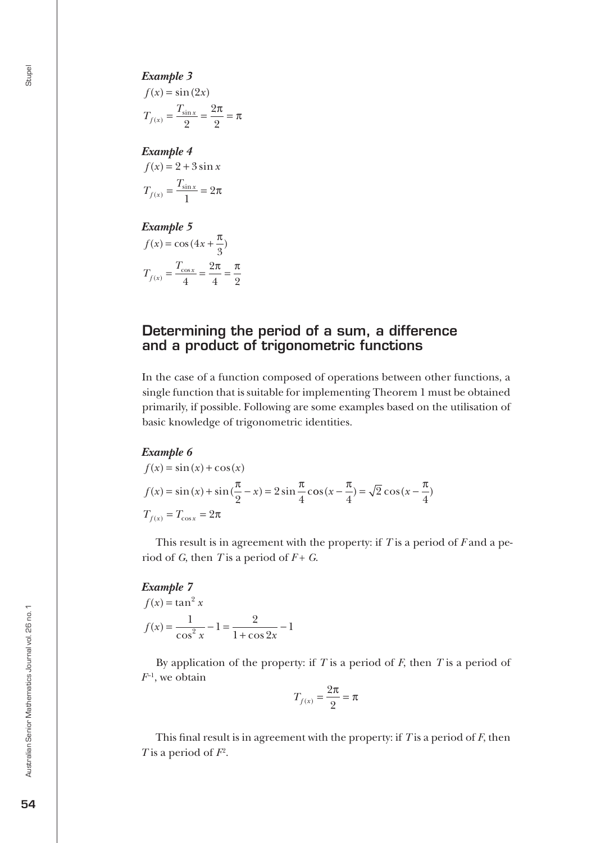*Example 3*  $f(x) = \sin(2x)$  $T_{f(x)} = \frac{T}{x}$  $\frac{I_{\sin x}}{f(x)} = \frac{I_{\sin x}}{2} = \frac{2\pi}{2}$ 2 2 2  $\frac{\pi}{\pi} = \pi$ 

*Example 4*  $f(x) = 2 + 3\sin x$  $T_{f(x)} = \frac{T}{\sqrt{2}}$  $f(x) = \frac{I_{\sin x}}{1} =$ 1  $2π$ 

*Example 5*  $f(x) = \cos(4x + \frac{\pi}{2})$ π

$$
T_{f(x)} = \frac{T_{\cos x}}{4} = \frac{2\pi}{4} = \frac{\pi}{2}
$$

### Determining the period of a sum, a difference and a product of trigonometric functions

In the case of a function composed of operations between other functions, a single function that is suitable for implementing Theorem 1 must be obtained primarily, if possible. Following are some examples based on the utilisation of basic knowledge of trigonometric identities.

### *Example 6*

$$
f(x) = \sin(x) + \cos(x)
$$
  

$$
f(x) = \sin(x) + \sin(\frac{\pi}{2} - x) = 2\sin\frac{\pi}{4}\cos(x - \frac{\pi}{4}) = \sqrt{2}\cos(x - \frac{\pi}{4})
$$
  

$$
T_{f(x)} = T_{\cos x} = 2\pi
$$

This result is in agreement with the property: if *T* is a period of *F* and a period of  $G$ , then  $T$  is a period of  $F + G$ .

#### *Example 7*  $f(x) = \tan^2 x$ *f x*  $x$   $1 + \cos 2x$  $\dot{f}(x)$  $=\frac{1}{\cos^2 x} - 1 = \frac{2}{1 + \cos 2x}$  $1 + \cos 2$ 1

By application of the property: if *T* is a period of *F*, then *T* is a period of  $F^{-1}$ , we obtain

$$
T_{f(x)} = \frac{2\pi}{2} = \pi
$$

This final result is in agreement with the property: if *T* is a period of *F*, then *T* is a period of  $F^2$ .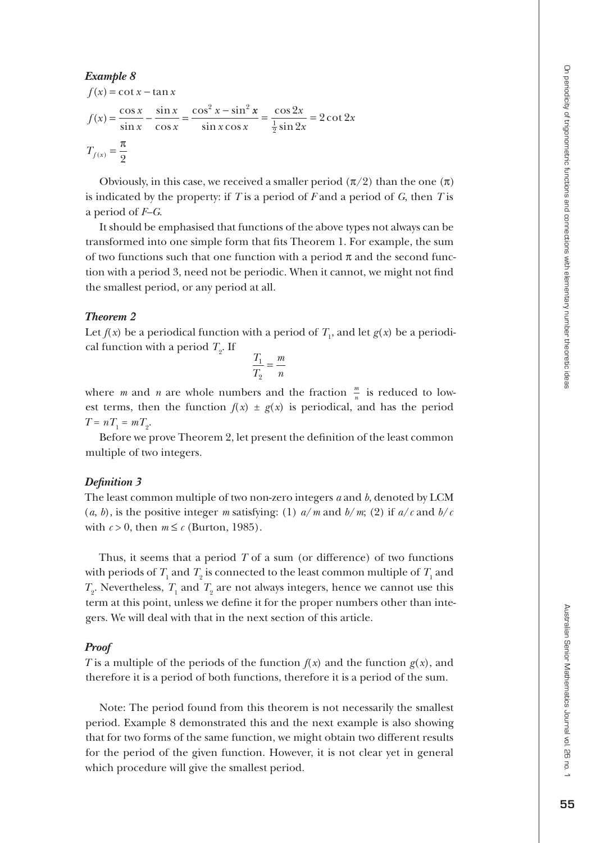### *Example 8*

$$
f(x) = \cot x - \tan x
$$
  
\n
$$
f(x) = \frac{\cos x}{\sin x} - \frac{\sin x}{\cos x} = \frac{\cos^2 x - \sin^2 x}{\sin x \cos x} = \frac{\cos 2x}{\frac{1}{2} \sin 2x} = 2 \cot 2x
$$
  
\n
$$
T_{f(x)} = \frac{\pi}{2}
$$

Obviously, in this case, we received a smaller period  $(\pi/2)$  than the one  $(\pi)$ is indicated by the property: if *T* is a period of *F* and a period of *G*, then *T* is a period of *F–G*.

It should be emphasised that functions of the above types not always can be transformed into one simple form that fits Theorem 1. For example, the sum of two functions such that one function with a period  $\pi$  and the second function with a period 3, need not be periodic. When it cannot, we might not find the smallest period, or any period at all.

### *Theorem 2*

Let  $f(x)$  be a periodical function with a period of  $T_1$ , and let  $g(x)$  be a periodical function with a period  $T_2$ . If

$$
\frac{T_1}{T_2} = \frac{m}{n}
$$

where *m* and *n* are whole numbers and the fraction  $\frac{m}{n}$  is reduced to lowest terms, then the function  $f(x) \pm g(x)$  is periodical, and has the period  $T = nT_1 = mT_2.$ 

Before we prove Theorem 2, let present the definition of the least common multiple of two integers.

### *Definition 3*

The least common multiple of two non-zero integers *a* and *b*, denoted by LCM (*a*, *b*), is the positive integer *m* satisfying: (1)  $a/m$  and  $b/m$ ; (2) if  $a/c$  and  $b/c$ with  $c > 0$ , then  $m \leq c$  (Burton, 1985).

Thus, it seems that a period *T* of a sum (or difference) of two functions with periods of  $T_1$  and  $T_2$  is connected to the least common multiple of  $T_1$  and  $T_2$ . Nevertheless,  $T_1$  and  $T_2$  are not always integers, hence we cannot use this term at this point, unless we define it for the proper numbers other than inte gers. We will deal with that in the next section of this article.

### *Proof*

*T* is a multiple of the periods of the function  $f(x)$  and the function  $g(x)$ , and therefore it is a period of both functions, therefore it is a period of the sum.

Note: The period found from this theorem is not necessarily the smallest period. Example 8 demonstrated this and the next example is also showing that for two forms of the same function, we might obtain two different results for the period of the given function. However, it is not clear yet in general which procedure will give the smallest period.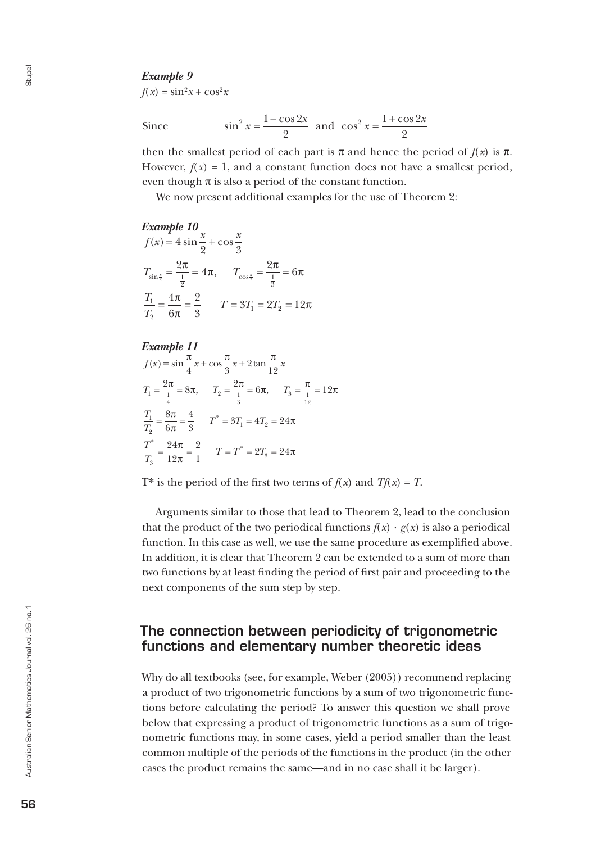$f(x) = \sin^2 x + \cos^2 x$ 

Since

$$
\sin^2 x = \frac{1-\cos 2x}{2}
$$
 and  $\cos^2 x = \frac{1+\cos 2x}{2}$ 

then the smallest period of each part is  $\pi$  and hence the period of  $f(x)$  is  $\pi$ . However,  $f(x) = 1$ , and a constant function does not have a smallest period, even though  $\pi$  is also a period of the constant function.

We now present additional examples for the use of Theorem 2:

*Example 10*  $f(x) = 4 \sin \frac{x}{2} + \cos \frac{x}{2}$  $T_{\sin \frac{x}{2}} = \frac{2\pi}{\frac{1}{2}} = 4\pi$ ,  $T_{\cos \frac{x}{3}} = \frac{2\pi}{\frac{1}{3}} = 6$ *T* 1 2 3  $\frac{\pi}{n} = 4\pi$ ,  $T_{\cos\frac{x}{n}} = \frac{2\pi}{n} = 6\pi$ 2  $1 - 412$  $4\pi$  2 3  $\frac{T_1}{T_2} = \frac{4\pi}{6\pi} = \frac{2}{3}$   $T = 3T_1 = 2T_2 = 12$ π 6

*Example 11*  $f(x) = \sin \frac{\pi}{4}x + \cos \frac{\pi}{8}x + 2\tan \frac{\pi}{18}x$  $T_1 = \frac{2\pi}{\frac{1}{4}} = 8\pi$ ,  $T_2 = \frac{2\pi}{\frac{1}{3}} = 6$  $\frac{\pi}{4}x + \cos{\frac{\pi}{3}x} + 2\tan{\frac{\pi}{12}}$  $T_2 = \frac{2\pi}{\frac{1}{3}} = 6\pi$ ,  $T_3 = \frac{\pi}{\frac{1}{12}} = 12\pi$ π  $\frac{T_1}{T_2} = \frac{8\pi}{6\pi} = \frac{4}{3}$   $T^* = 3T_1 = 4T_2 = 24\pi$  $\frac{T_1}{T_2} = \frac{6R}{6\pi} = \frac{4R}{3}$   $T^* = 3T_1 = 4T$ *T T* 3  $\frac{1}{2}$  6 $\pi$  3  $\frac{1}{2}$  -  $\frac{5}{1}$  -  $\frac{1}{2}$  $=\frac{1}{1}$  = 12 8 6 4  $=\frac{6\pi}{6\pi}=\frac{4}{3}$   $T^*=3T_1=4T_2=24$  $\frac{1}{2} = \frac{24}{18}$ 12 2  $\frac{\pi}{\pi} = \frac{2}{1}$   $T = T^* = 2T_3 = 24\pi$ 

T\* is the period of the first two terms of  $f(x)$  and  $Tf(x) = T$ .

Arguments similar to those that lead to Theorem 2, lead to the conclusion that the product of the two periodical functions  $f(x) \cdot g(x)$  is also a periodical function. In this case as well, we use the same procedure as exemplified above. In addition, it is clear that Theorem 2 can be extended to a sum of more than two functions by at least finding the period of first pair and proceeding to the next components of the sum step by step.

### The connection between periodicity of trigonometric functions and elementary number theoretic ideas

Why do all textbooks (see, for example, Weber (2005)) recommend replacing a product of two trigonometric functions by a sum of two trigonometric functions before calculating the period? To answer this question we shall prove below that expressing a product of trigonometric functions as a sum of trigonometric functions may, in some cases, yield a period smaller than the least common multiple of the periods of the functions in the product (in the other cases the product remains the same—and in no case shall it be larger).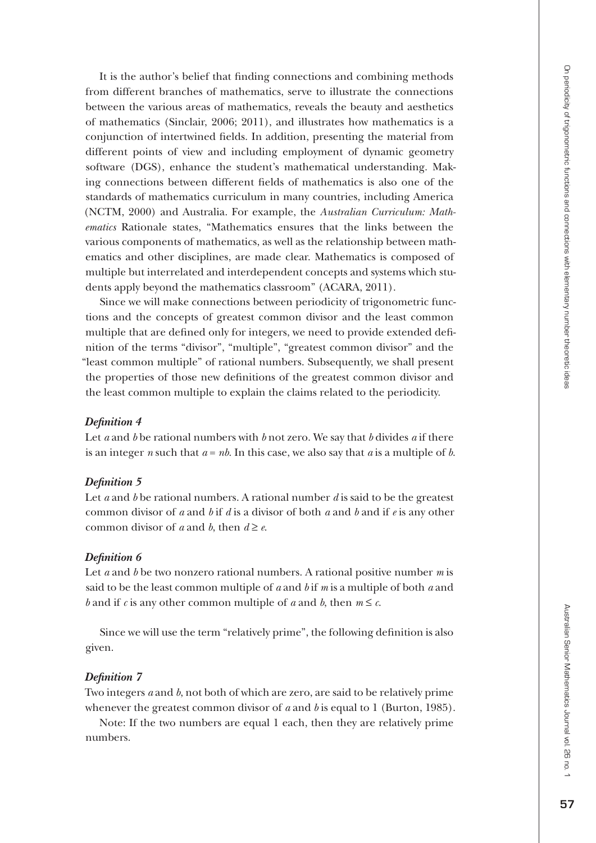It is the author's belief that finding connections and combining methods from different branches of mathematics, serve to illustrate the connections between the various areas of mathematics, reveals the beauty and aesthetics of mathematics (Sinclair, 2006; 2011), and illustrates how mathematics is a conjunction of intertwined fields. In addition, presenting the material from different points of view and including employment of dynamic geometry software (DGS), enhance the student's mathematical understanding. Making connections between different fields of mathematics is also one of the standards of mathematics curriculum in many countries, including America (NCTM, 2000) and Australia. For example, the *Australian Curriculum: Math ematics* Rationale states, "Mathematics ensures that the links between the various components of mathematics, as well as the relationship between math ematics and other disciplines, are made clear. Mathematics is composed of multiple but interrelated and interdependent concepts and systems which stu dents apply beyond the mathematics classroom" (ACARA, 2011).

Since we will make connections between periodicity of trigonometric func tions and the concepts of greatest common divisor and the least common multiple that are defined only for integers, we need to provide extended defi nition of the terms "divisor", "multiple", "greatest common divisor" and the "least common multiple" of rational numbers. Subsequently, we shall present the properties of those new definitions of the greatest common divisor and the least common multiple to explain the claims related to the periodicity.

### *Definition 4*

Let *a* and *b* be rational numbers with *b* not zero. We say that *b* divides *a* if there is an integer *n* such that  $a = nb$ . In this case, we also say that  $a$  is a multiple of  $b$ .

### *Definition 5*

Let *a* and *b* be rational numbers. A rational number *d* is said to be the greatest common divisor of *a* and *b* if *d* is a divisor of both *a* and *b* and if *e* is any other common divisor of *a* and *b*, then  $d \ge e$ .

### *Definition 6*

Let *a* and *b* be two nonzero rational numbers. A rational positive number *m* is said to be the least common multiple of  $a$  and  $b$  if  $m$  is a multiple of both  $a$  and *b* and if *c* is any other common multiple of *a* and *b*, then  $m \le c$ .

Since we will use the term "relatively prime", the following definition is also given.

### *Definition 7*

Two integers *a* and *b*, not both of which are zero, are said to be relatively prime whenever the greatest common divisor of  $a$  and  $b$  is equal to  $1$  (Burton, 1985).

Note: If the two numbers are equal 1 each, then they are relatively prime numbers.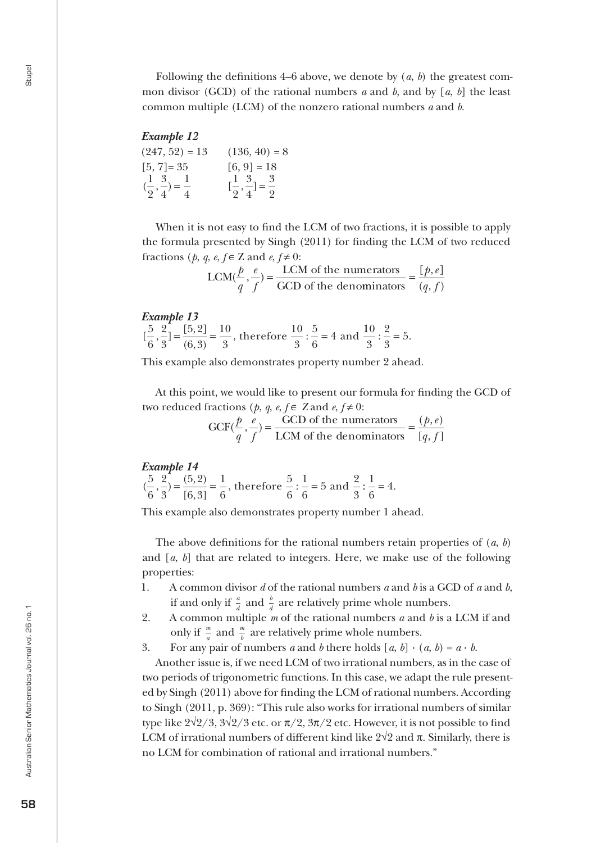Following the definitions 4–6 above, we denote by (*a*, *b*) the greatest common divisor (GCD) of the rational numbers *a* and *b*, and by [*a*, *b*] the least common multiple (LCM) of the nonzero rational numbers *a* and *b*.

### *Example 12*

 $(247, 52) = 13$   $(136, 40) = 8$  $[5, 7] = 35$   $[6, 9] = 18$  $\left(\frac{1}{2}, \frac{3}{4}\right)$ 2 3 4  $=\frac{1}{4}$   $[\frac{1}{2}, \frac{3}{4}]$ 3 4  $=\frac{3}{2}$ 

When it is not easy to find the LCM of two fractions, it is possible to apply the formula presented by Singh (2011) for finding the LCM of two reduced fractions (*p*, *q*, *e*,  $f \in \mathbb{Z}$  and  $e, f \neq 0$ :

$$
LCM(\frac{p}{q}, \frac{e}{f}) = \frac{LCM \text{ of the numerators}}{GCD \text{ of the denominators}} = \frac{[p, e]}{(q, f)}
$$

*Example 13*

 $\left[\frac{5}{6}, \frac{2}{3}\right] = \frac{[5, 2]}{(6, 3)} = \frac{10}{3}$ , therefore  $\frac{10}{3}$ . 6 2 3  $5, 2$  $6,3$ 10 3 10 3  $=\frac{[5,2]}{(6,3)}=\frac{10}{3}$ , therefore  $\frac{10}{3}:\frac{5}{6}=4$  and  $\frac{10}{3}$ 2 3  $:\frac{1}{2} = 5.$ 

This example also demonstrates property number 2 ahead.

At this point, we would like to present our formula for finding the GCD of two reduced fractions (*p*, *q*, *e*, *f* ∈ *Z* and *e*, *f* ≠

> $GCF(\frac{p}{c}, \frac{e}{c}) = \frac{GCD \text{ of the numerators}}{1 - GFL \text{ at } \frac{p}{c}}$ LCM of the deno  $\phi(\frac{p}{\cdot}, \frac{e}{\cdot})$ *q*  $\frac{e}{f}$ ) =  $\frac{GCD \text{ of the numerators}}{LCM \text{ of the denominators}} = \frac{(p, e)}{[q, f]}$  $p, e$  $q, j$

### *Example 14*

 $(\frac{5}{6}, \frac{2}{3}) = \frac{(5, 2)}{[6, 3]} = \frac{1}{6}$ , therefore  $\frac{5}{6}$ . 6 2 3  $5,2$  $6,3$ 1 6 5 6 1 6  $=\frac{(5,2)}{[6,3]}=\frac{1}{6}$ , therefore  $\frac{5}{6}:\frac{1}{6}=5$  and  $\frac{2}{3}:\frac{1}{6}=4$ .

This example also demonstrates property number 1 ahead.

The above definitions for the rational numbers retain properties of (*a*, *b*) and [*a*, *b*] that are related to integers. Here, we make use of the following properties:

- 1. A common divisor *d* of the rational numbers *a* and *b* is a GCD of *a* and *b*, if and only if  $\frac{a}{d}$  and  $\frac{b}{d}$  are relatively prime whole numbers.
- 2. A common multiple *m* of the rational numbers *a* and *b* is a LCM if and only if  $\frac{m}{a}$  and  $\frac{m}{b}$  are relatively prime whole numbers.
- 3. For any pair of numbers *a* and *b* there holds  $[a, b] \cdot (a, b) = a \cdot b$ .

Another issue is, if we need LCM of two irrational numbers, as in the case of two periods of trigonometric functions. In this case, we adapt the rule presented by Singh (2011) above for finding the LCM of rational numbers. According to Singh (2011, p. 369): "This rule also works for irrational numbers of similar type like 2√2/3, 3√2/3 etc. or  $\pi/2$ , 3 $\pi/2$  etc. However, it is not possible to find LCM of irrational numbers of different kind like  $2\sqrt{2}$  and  $\pi$ . Similarly, there is no LCM for combination of rational and irrational numbers."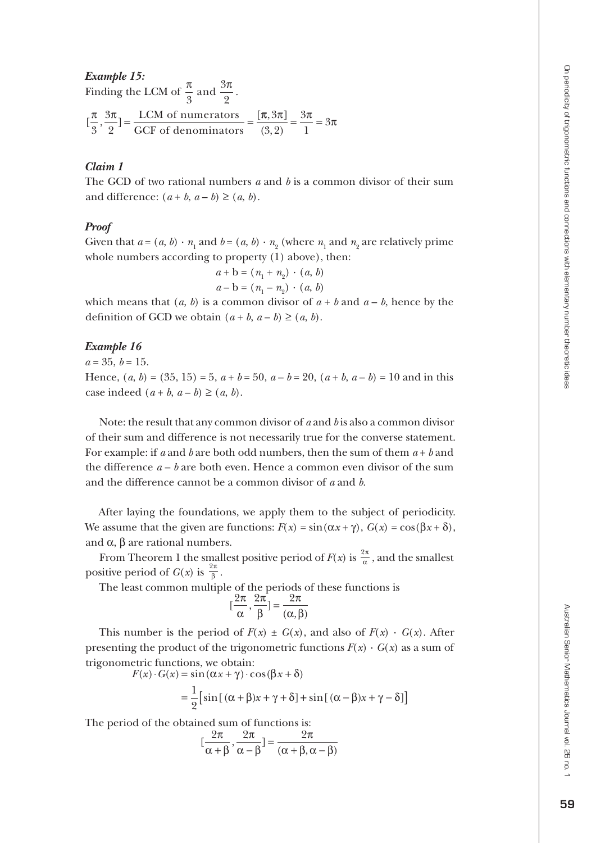*Example 15:*  Finding the LCM of  $\frac{\pi}{3}$  and  $\frac{3\pi}{2}$ .  $\left[\frac{\pi}{2}, \frac{3\pi}{2}\right] = \frac{\text{LCM of numerators}}{200 \text{ N} \cdot \text{s} + \frac{1}{2}} = \frac{1}{2}$  $\left(\frac{\pi}{3}, \frac{3\pi}{2}\right) = \frac{\text{LCM of numerators}}{\text{GCF of denominators}} =$  $\frac{\pi, 3\pi}{4} = \frac{3\pi}{4} = 3\pi$  $(3, 2)$ 3  $\left(\frac{\pi}{3}, \frac{3\pi}{2}\right) = \frac{3\pi}{1} = 3$ 

### *Claim 1*

The GCD of two rational numbers  $a$  and  $b$  is a common divisor of their sum and difference:  $(a + b, a - b) \ge (a, b)$ .

### *Proof*

Given that  $a = (a, b) \cdot n_1$  and  $b = (a, b) \cdot n_2$  (where  $n_1$  and  $n_2$  are relatively prime whole numbers according to property (1) above), then:

$$
a + b = (n_1 + n_2) \cdot (a, b)
$$
  

$$
a - b = (n_1 - n_2) \cdot (a, b)
$$

which means that  $(a, b)$  is a common divisor of  $a + b$  and  $a - b$ , hence by the definition of GCD we obtain  $(a + b, a - b) \ge (a, b)$ .

### *Example 16*

#### $a = 35, b = 15.$

Hence,  $(a, b) = (35, 15) = 5$ ,  $a + b = 50$ ,  $a - b = 20$ ,  $(a + b, a - b) = 10$  and in this case indeed  $(a + b, a - b) \ge (a, b)$ .

Note: the result that any common divisor of a and b is also a common divisor of their sum and difference is not necessarily true for the converse statement. For example: if  $a$  and  $b$  are both odd numbers, then the sum of them  $a + b$  and the difference *a* – *b* are both even. Hence a common even divisor of the sum and the difference cannot be a common divisor of *a* and *b* .

After laying the foundations, we apply them to the subject of periodicity. We assume that the given are functions:  $F(x) = \sin(\alpha x + \gamma)$ ,  $G(x) = \cos(\beta x + \delta)$ , and  $\alpha$ ,  $\beta$  are rational numbers.

From Theorem 1 the smallest positive period of  $F(x)$  is  $\frac{2\pi}{\alpha}$ , and the smallest positive period of  $G(x)$  is  $\frac{2\pi}{\beta}$ .

The least common multiple of the periods of these functions is

$$
[\frac{2\pi}{\alpha}, \frac{2\pi}{\beta}] = \frac{2\pi}{(\alpha, \beta)}
$$

This number is the period of  $F(x) \pm G(x)$ , and also of  $F(x) \cdot G(x)$ . After presenting the product of the trigonometric functions  $F(x) \cdot G(x)$  as a sum of trigonometric functions, we obtain:

$$
F(x) \cdot G(x) = \sin(\alpha x + \gamma) \cdot \cos(\beta x + \delta)
$$
  
= 
$$
\frac{1}{2} [\sin[(\alpha + \beta)x + \gamma + \delta] + \sin[(\alpha - \beta)x + \gamma - \delta]]
$$

The period of the obtained sum of functions is:

$$
[\frac{2\pi}{\alpha+\beta}, \frac{2\pi}{\alpha-\beta}] = \frac{2\pi}{(\alpha+\beta, \alpha-\beta)}
$$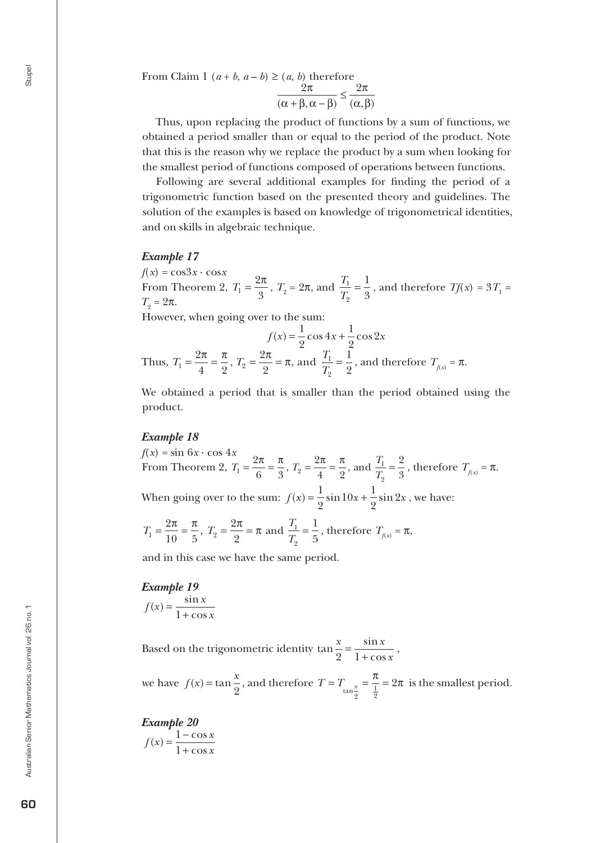From Claim 1  $(a + b, a - b) \ge (a, b)$  therefore

$$
\frac{2\pi}{(\alpha+\beta,\alpha-\beta)} \le \frac{2\pi}{(\alpha,\beta)}
$$

Thus, upon replacing the product of functions by a sum of functions, we obtained a period smaller than or equal to the period of the product. Note that this is the reason why we replace the product by a sum when looking for the smallest period of functions composed of operations between functions.

Following are several additional examples for finding the period of a trigonometric function based on the presented theory and guidelines. The solution of the examples is based on knowledge of trigonometrical identities, and on skills in algebraic technique.

### *Example 17*

 $f(x) = \cos 3x \cdot \cos x$ From Theorem 2,  $T_1 = \frac{2\pi}{3}$ ,  $T_2 = 2\pi$ , and  $\frac{T_1}{T_2}$ *T* 1 2  $=\frac{1}{3}$ , and therefore  $Tf(x) = 3T_1 =$  $T_2 = 2π$ .

However, when going over to the sum:

$$
f(x) = \frac{1}{2}\cos 4x + \frac{1}{2}\cos 2x
$$
  
Thus,  $T_1 = \frac{2\pi}{4} = \frac{\pi}{2}$ ,  $T_2 = \frac{2\pi}{2} = \pi$ , and  $\frac{T_1}{T_2} = \frac{1}{2}$ , and therefore  $T_{f(x)} = \pi$ .

We obtained a period that is smaller than the period obtained using the product.

### *Example 18*

 $f(x) = \sin 6x \cdot \cos 4x$ From Theorem 2,  $T_1 = \frac{2\pi}{\lambda} = \frac{\pi}{2}$ ,  $T_2 = \frac{2\pi}{\lambda} = \frac{\pi}{2}$ , and  $\frac{T_1}{T_2}$  $T_1 = \frac{2\pi}{6} = \frac{\pi}{3}, T_2 = \frac{2\pi}{4} = \frac{\pi}{2}, \text{ and } \frac{T_1}{T_2}$ 2 2 6 3 2 4 2  $=\frac{2\pi}{6}=\frac{\pi}{3}$ ,  $T_2=\frac{2\pi}{4}=\frac{\pi}{2}$ , and  $\frac{T_1}{T_2}=\frac{2}{3}$ , therefore  $T_{f(x)}=\pi$ . When going over to the sum:  $f(x) = \frac{1}{2} \sin 10x + \frac{1}{2} \sin 2x$ 2  $10x + \frac{1}{2}$ 2  $2x$ , we have:

$$
T_1 = \frac{2\pi}{10} = \frac{\pi}{5}
$$
,  $T_2 = \frac{2\pi}{2} = \pi$  and  $\frac{T_1}{T_2} = \frac{1}{5}$ , therefore  $T_{f(x)} = \pi$ ,

and in this case we have the same period.

*Example 19*  $f(x) = \frac{\sin x}{1}$ *x*  $\hat{c}(x) = \frac{\sin x}{1 + \cos x}$ 

Based on the trigonometric identity  $\tan \frac{x}{2} = \frac{\sin x}{1 + \cos x}$ ,

we have  $f(x) = \tan \frac{x}{a}$  $\frac{\pi}{2}$ , and therefore  $T = T_{\tan \frac{x}{2}} = \frac{\pi}{\frac{1}{2}} =$  $\frac{\pi}{\pi}$  = 2 $\pi$  is the smallest period.

*Example 20*  $f(x) = \frac{1 - \cos x}{1}$ *x*  $\mathbf{r}(x) = \frac{1 - \cos x}{1 + \cos x}$ 1 1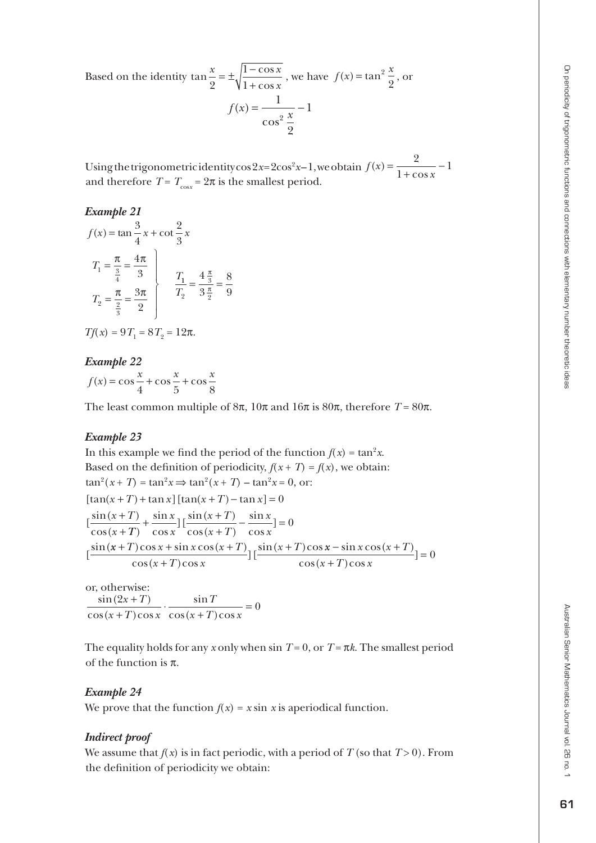Based on the identity  $\tan \frac{x}{2} = \pm \sqrt{\frac{1 - \cos x}{1 + \cos x}}$ co s , we have  $f(x) = \tan^2 \frac{x}{2}$ , or  $f(x) = \frac{1}{\sqrt{2x}} - \frac{1}{x}$ 1  $\cos^2$ 

Using the trigonometric identity cos  $2x=2\cos^2 x-1$ , we obtain  $f(x) = \frac{1}{1+\cos x}$  $\dot{f}(x)$ co s = +  $\frac{2}{2}$  – 1 1 and therefore  $T = T_{\text{cos}x} = 2\pi$  is the smallest period.

2

### *Example 21*

$$
f(x) = \tan \frac{3}{4}x + \cot \frac{2}{3}x
$$
  

$$
T_1 = \frac{\pi}{\frac{3}{4}} = \frac{4\pi}{3}
$$
  

$$
T_2 = \frac{\pi}{\frac{2}{3}} = \frac{3\pi}{2}
$$
  

$$
T_1 = \frac{4\frac{\pi}{3}}{3\frac{\pi}{2}} = \frac{8}{9}
$$

$$
Tf(x) = 9T_1 = 8T_2 = 12\pi.
$$

*Example 22*  $f(x) = \cos\frac{x}{2} + \cos\frac{x}{2} + \cos\frac{x}{2}$ 4 5 8

The least common multiple of  $8\pi$ ,  $10\pi$  and  $16\pi$  is  $80\pi$ , therefore  $T = 80\pi$ .

### *Example 23*

In this example we find the period of the function  $f(x) = \tan^2 x$ . Based on the definition of periodicity,  $f(x+T) = f(x)$ , we obtain:  $\tan^2(x+T) = \tan^2 x \implies \tan^2(x+T) - \tan^2 x = 0$ , or:  $[\tan(x+T) + \tan x] [\tan(x+T) - \tan x] = 0$  $\left[\frac{\sin(x+T)}{2}\right]$ cos(  $x + T$  $\frac{x+T}{x+T}$  +  $\frac{\sin x}{\cos x}$ ]  $\left[\frac{\sin(x+T)}{\cos(x+T)}\right]$ *x T x*  $\int$   $\cos x^{-1} \cos(x+T) \cos x$ si n co s  $\frac{\sin(x+T)}{T}$  $\cos(x+T)$ si n co s  $+\frac{\sin x}{\cos x}$ ]  $\left[\frac{\sin(x+T)}{\cos(x+T)} - \frac{\sin x}{\cos x}\right] = 0$  $\frac{\sin(x+T)\cos x + \sin x \cos(x+T)}{T}$  $(x+T)\cos x$  $+ T$ ) cos x + sin x cos (x + T)<sub>15</sub>sin (x + T) +  $\cos x + \sin x \cos(x+T)$ <sub>1 r</sub> $\sin(x+T)$  $\cos(x+T)\cos$  $\frac{\sin (x+T) \cos x - \sin x \cos (x+T)}{T}$  $(x+T)\cos x$  $-\sin x \cos(x +$ +  $\frac{\sin x \cos(x+T)}{T}$ ]=  $\cos(x+T)\cos$  $\cdot$ ] = 0

or, otherwise:  $\sin(2x+T)$  $\cos(x+T)\cos$ si n  $\cos(x+T)\cos$  $\frac{2x+T}{T} \cdot \frac{\sin T}{T} = 0$  $x + T$ ) cos x *T*  $(x+T)\cos x$ + + ⋅ + =

The equality holds for any x only when  $\sin T = 0$ , or  $T = \pi k$ . The smallest period of the function is  $\pi$ .

### *Example 24*

We prove that the function  $f(x) = x \sin x$  is aperiodical function.

### *Indirect proof*

We assume that  $f(x)$  is in fact periodic, with a period of  $T$  (so that  $T > 0$ ). From the definition of periodicity we obtain: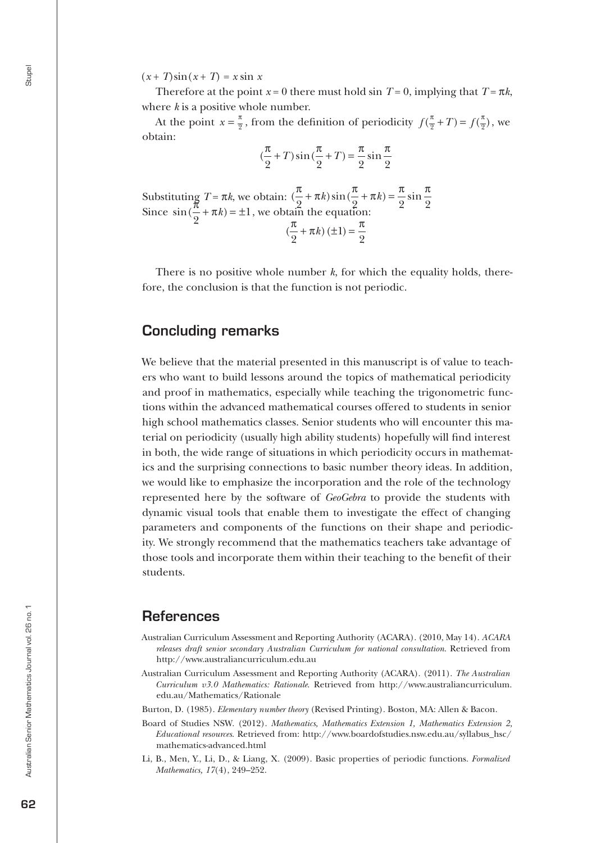$(x+T)\sin(x+T) = x \sin x$ 

Therefore at the point  $x = 0$  there must hold sin  $T = 0$ , implying that  $T = \pi k$ , where *k* is a positive whole number.

At the point  $x = \frac{\pi}{2}$ , from the definition of periodicity  $f(\frac{\pi}{2} + T) = f(\frac{\pi}{2})$ , we obtain:

$$
(\frac{\pi}{2} + T)\sin(\frac{\pi}{2} + T) = \frac{\pi}{2}\sin\frac{\pi}{2}
$$

Substituting  $T = \pi k$ , we obtain:  $(\frac{\pi}{8} + \pi k) \sin(\frac{\pi}{8} + \pi k) = \frac{\pi}{8} \sin \frac{\pi}{8}$  $2 \t 2 \t 2 \t 2 \t 2$  $+\pi k$ ) sin  $\left(\frac{\pi}{6} + \pi k\right) =$ Since  $\sin(\frac{\pi}{6} + \pi k)$ 2  $+\pi k$  =  $\pm 1$ , we obtain the equation:  $(\frac{\pi}{2} + \pi k) (\pm 1) = \frac{\pi}{2}$ 2 1 2  $+\pi k$ )  $(\pm 1) =$ 

There is no positive whole number *k*, for which the equality holds, therefore, the conclusion is that the function is not periodic.

### Concluding remarks

We believe that the material presented in this manuscript is of value to teachers who want to build lessons around the topics of mathematical periodicity and proof in mathematics, especially while teaching the trigonometric functions within the advanced mathematical courses offered to students in senior high school mathematics classes. Senior students who will encounter this material on periodicity (usually high ability students) hopefully will find interest in both, the wide range of situations in which periodicity occurs in mathematics and the surprising connections to basic number theory ideas. In addition, we would like to emphasize the incorporation and the role of the technology represented here by the software of *GeoGebra* to provide the students with dynamic visual tools that enable them to investigate the effect of changing parameters and components of the functions on their shape and periodicity. We strongly recommend that the mathematics teachers take advantage of those tools and incorporate them within their teaching to the benefit of their students.

### **References**

- Australian Curriculum Assessment and Reporting Authority (ACARA). (2010, May 14). *ACARA releases draft senior secondary Australian Curriculum for national consultation*. Retrieved from http://www.australiancurriculum.edu.au
- Australian Curriculum Assessment and Reporting Authority (ACARA). (2011). *The Australian Curriculum v3.0 Mathematics: Rationale*. Retrieved from http://www.australiancurriculum. edu.au/Mathematics/Rationale
- Burton, D. (1985). *Elementary number theory* (Revised Printing). Boston, MA: Allen & Bacon.
- Board of Studies NSW. (2012). *Mathematics, Mathematics Extension 1, Mathematics Extension 2, Educational resources*. Retrieved from: http://www.boardofstudies.nsw.edu.au/syllabus\_hsc/ mathematics-advanced.html
- Li, B., Men, Y., Li, D., & Liang, X. (2009). Basic properties of periodic functions. *Formalized Mathematics, 17*(4), 249–252.